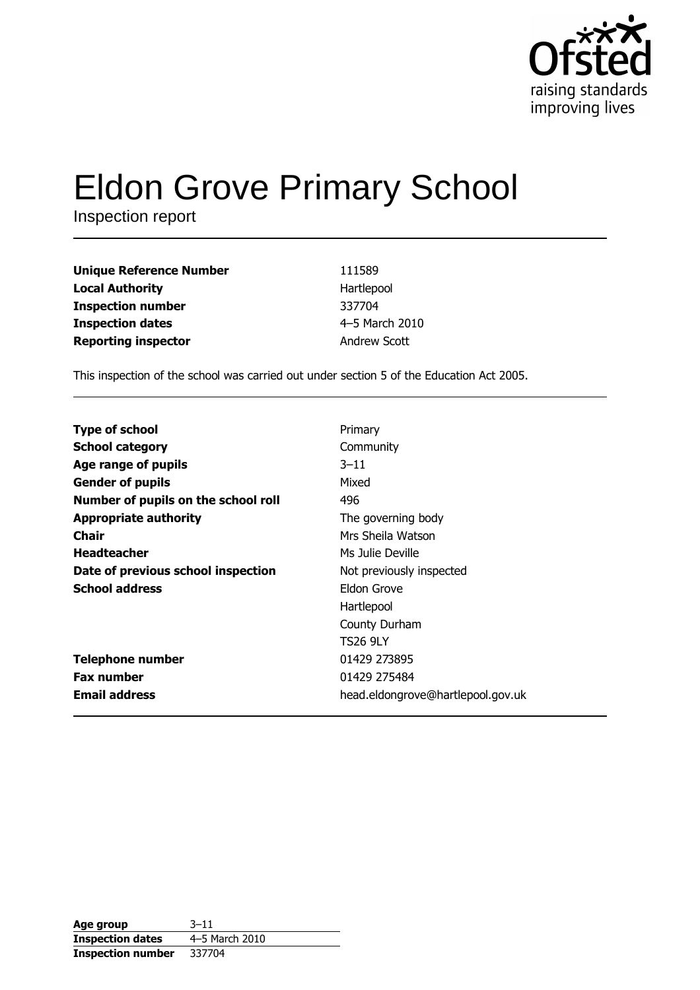

# **Eldon Grove Primary School**

Inspection report

| <b>Unique Reference Number</b> | 111589         |
|--------------------------------|----------------|
| <b>Local Authority</b>         | Hartlepool     |
| <b>Inspection number</b>       | 337704         |
| <b>Inspection dates</b>        | 4-5 March 2010 |
| <b>Reporting inspector</b>     | Andrew Scott   |

This inspection of the school was carried out under section 5 of the Education Act 2005.

| <b>Type of school</b>               | Primary                           |
|-------------------------------------|-----------------------------------|
| <b>School category</b>              | Community                         |
| Age range of pupils                 | $3 - 11$                          |
| <b>Gender of pupils</b>             | Mixed                             |
| Number of pupils on the school roll | 496                               |
| <b>Appropriate authority</b>        | The governing body                |
| <b>Chair</b>                        | Mrs Sheila Watson                 |
| <b>Headteacher</b>                  | Ms Julie Deville                  |
| Date of previous school inspection  | Not previously inspected          |
| <b>School address</b>               | Eldon Grove                       |
|                                     | Hartlepool                        |
|                                     | County Durham                     |
|                                     | <b>TS26 9LY</b>                   |
| <b>Telephone number</b>             | 01429 273895                      |
| <b>Fax number</b>                   | 01429 275484                      |
| <b>Email address</b>                | head.eldongrove@hartlepool.gov.uk |

| Age group                | $3 - 11$       |
|--------------------------|----------------|
| <b>Inspection dates</b>  | 4-5 March 2010 |
| <b>Inspection number</b> | 337704         |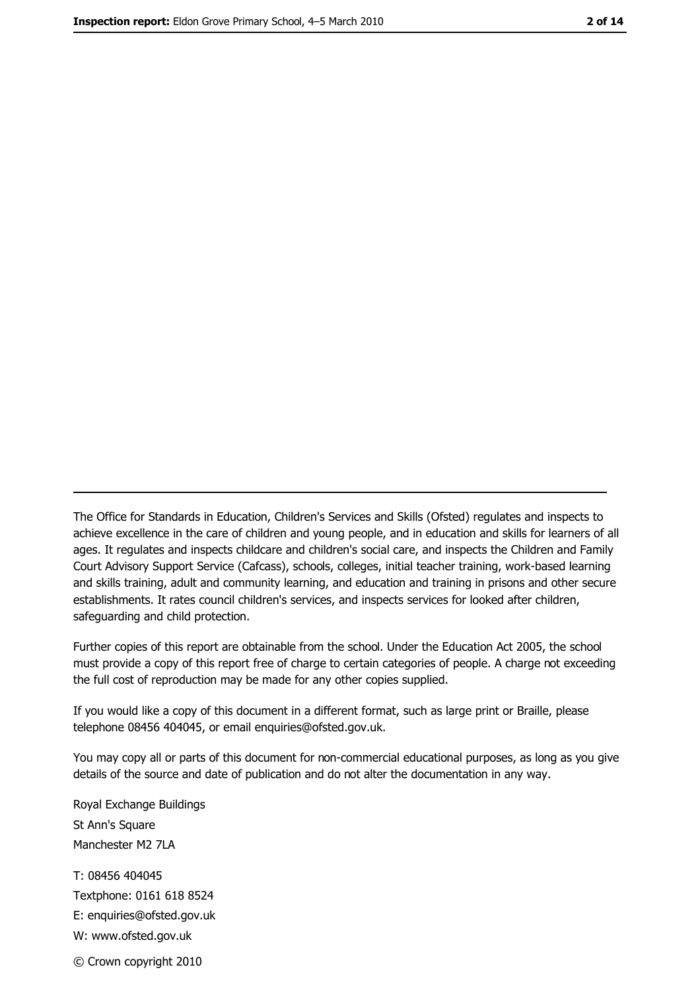The Office for Standards in Education, Children's Services and Skills (Ofsted) regulates and inspects to achieve excellence in the care of children and young people, and in education and skills for learners of all ages. It regulates and inspects childcare and children's social care, and inspects the Children and Family Court Advisory Support Service (Cafcass), schools, colleges, initial teacher training, work-based learning and skills training, adult and community learning, and education and training in prisons and other secure establishments. It rates council children's services, and inspects services for looked after children, safequarding and child protection.

Further copies of this report are obtainable from the school. Under the Education Act 2005, the school must provide a copy of this report free of charge to certain categories of people. A charge not exceeding the full cost of reproduction may be made for any other copies supplied.

If you would like a copy of this document in a different format, such as large print or Braille, please telephone 08456 404045, or email enquiries@ofsted.gov.uk.

You may copy all or parts of this document for non-commercial educational purposes, as long as you give details of the source and date of publication and do not alter the documentation in any way.

Royal Exchange Buildings St Ann's Square Manchester M2 7LA T: 08456 404045 Textphone: 0161 618 8524 E: enquiries@ofsted.gov.uk W: www.ofsted.gov.uk © Crown copyright 2010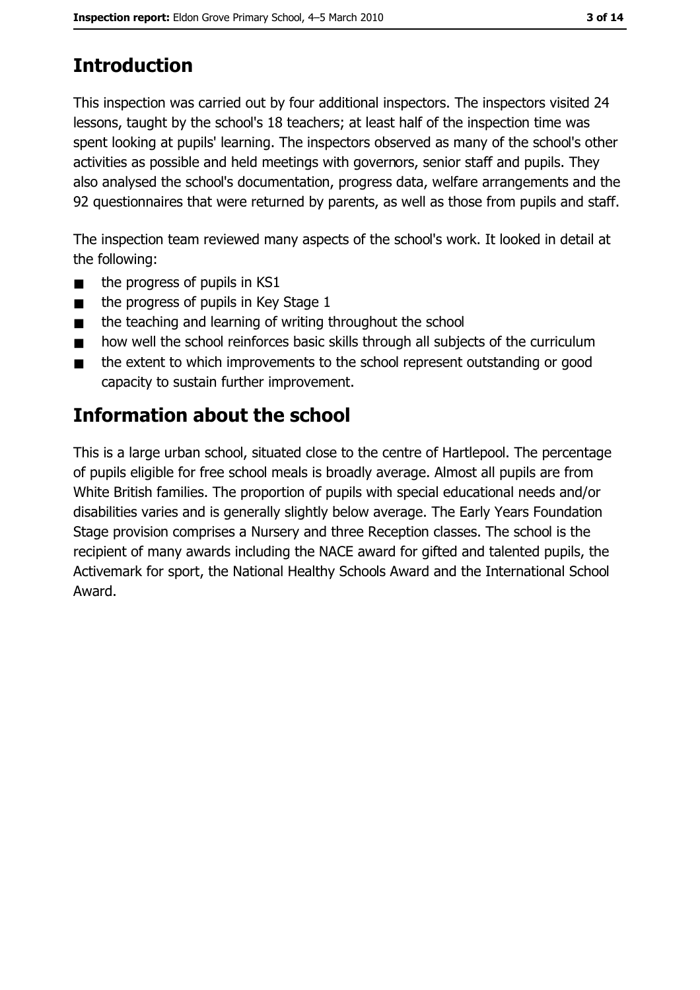# **Introduction**

This inspection was carried out by four additional inspectors. The inspectors visited 24 lessons, taught by the school's 18 teachers; at least half of the inspection time was spent looking at pupils' learning. The inspectors observed as many of the school's other activities as possible and held meetings with governors, senior staff and pupils. They also analysed the school's documentation, progress data, welfare arrangements and the 92 questionnaires that were returned by parents, as well as those from pupils and staff.

The inspection team reviewed many aspects of the school's work. It looked in detail at the following:

- the progress of pupils in KS1  $\blacksquare$
- the progress of pupils in Key Stage 1  $\blacksquare$
- the teaching and learning of writing throughout the school  $\blacksquare$
- how well the school reinforces basic skills through all subjects of the curriculum  $\blacksquare$
- the extent to which improvements to the school represent outstanding or good  $\blacksquare$ capacity to sustain further improvement.

# **Information about the school**

This is a large urban school, situated close to the centre of Hartlepool. The percentage of pupils eligible for free school meals is broadly average. Almost all pupils are from White British families. The proportion of pupils with special educational needs and/or disabilities varies and is generally slightly below average. The Early Years Foundation Stage provision comprises a Nursery and three Reception classes. The school is the recipient of many awards including the NACE award for gifted and talented pupils, the Activemark for sport, the National Healthy Schools Award and the International School Award.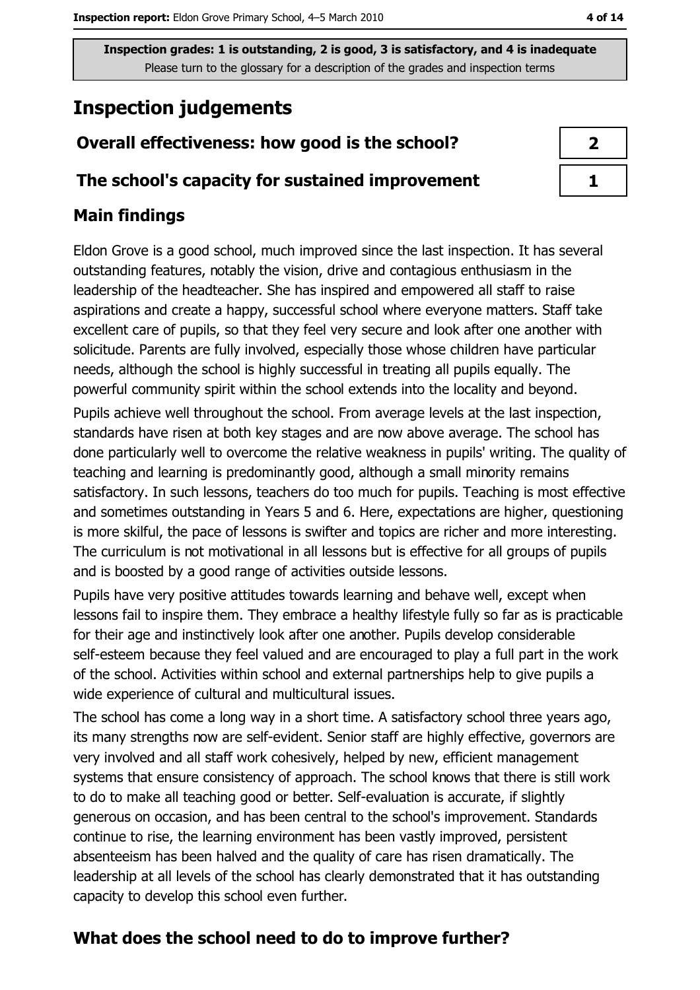# **Inspection judgements**

# Overall effectiveness: how good is the school?

### The school's capacity for sustained improvement

# **Main findings**

Eldon Grove is a good school, much improved since the last inspection. It has several outstanding features, notably the vision, drive and contagious enthusiasm in the leadership of the headteacher. She has inspired and empowered all staff to raise aspirations and create a happy, successful school where everyone matters. Staff take excellent care of pupils, so that they feel very secure and look after one another with solicitude. Parents are fully involved, especially those whose children have particular needs, although the school is highly successful in treating all pupils equally. The powerful community spirit within the school extends into the locality and beyond.

Pupils achieve well throughout the school. From average levels at the last inspection, standards have risen at both key stages and are now above average. The school has done particularly well to overcome the relative weakness in pupils' writing. The quality of teaching and learning is predominantly good, although a small minority remains satisfactory. In such lessons, teachers do too much for pupils. Teaching is most effective and sometimes outstanding in Years 5 and 6. Here, expectations are higher, questioning is more skilful, the pace of lessons is swifter and topics are richer and more interesting. The curriculum is not motivational in all lessons but is effective for all groups of pupils and is boosted by a good range of activities outside lessons.

Pupils have very positive attitudes towards learning and behave well, except when lessons fail to inspire them. They embrace a healthy lifestyle fully so far as is practicable for their age and instinctively look after one another. Pupils develop considerable self-esteem because they feel valued and are encouraged to play a full part in the work of the school. Activities within school and external partnerships help to give pupils a wide experience of cultural and multicultural issues.

The school has come a long way in a short time. A satisfactory school three years ago, its many strengths now are self-evident. Senior staff are highly effective, governors are very involved and all staff work cohesively, helped by new, efficient management systems that ensure consistency of approach. The school knows that there is still work to do to make all teaching good or better. Self-evaluation is accurate, if slightly generous on occasion, and has been central to the school's improvement. Standards continue to rise, the learning environment has been vastly improved, persistent absenteeism has been halved and the quality of care has risen dramatically. The leadership at all levels of the school has clearly demonstrated that it has outstanding capacity to develop this school even further.

# What does the school need to do to improve further?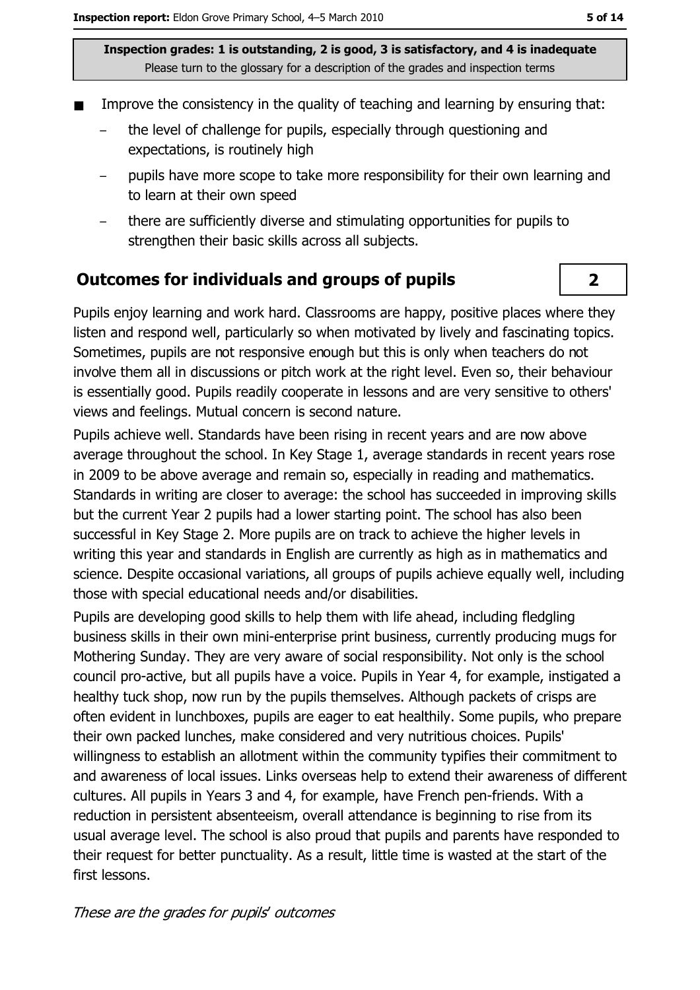- Improve the consistency in the quality of teaching and learning by ensuring that:
	- the level of challenge for pupils, especially through questioning and expectations, is routinely high
	- pupils have more scope to take more responsibility for their own learning and to learn at their own speed
	- there are sufficiently diverse and stimulating opportunities for pupils to strengthen their basic skills across all subjects.

### **Outcomes for individuals and groups of pupils**

Pupils enjoy learning and work hard. Classrooms are happy, positive places where they listen and respond well, particularly so when motivated by lively and fascinating topics. Sometimes, pupils are not responsive enough but this is only when teachers do not involve them all in discussions or pitch work at the right level. Even so, their behaviour is essentially good. Pupils readily cooperate in lessons and are very sensitive to others' views and feelings. Mutual concern is second nature.

Pupils achieve well. Standards have been rising in recent vears and are now above average throughout the school. In Key Stage 1, average standards in recent years rose in 2009 to be above average and remain so, especially in reading and mathematics. Standards in writing are closer to average: the school has succeeded in improving skills but the current Year 2 pupils had a lower starting point. The school has also been successful in Key Stage 2. More pupils are on track to achieve the higher levels in writing this year and standards in English are currently as high as in mathematics and science. Despite occasional variations, all groups of pupils achieve equally well, including those with special educational needs and/or disabilities.

Pupils are developing good skills to help them with life ahead, including fledgling business skills in their own mini-enterprise print business, currently producing mugs for Mothering Sunday. They are very aware of social responsibility. Not only is the school council pro-active, but all pupils have a voice. Pupils in Year 4, for example, instigated a healthy tuck shop, now run by the pupils themselves. Although packets of crisps are often evident in lunchboxes, pupils are eager to eat healthily. Some pupils, who prepare their own packed lunches, make considered and very nutritious choices. Pupils' willingness to establish an allotment within the community typifies their commitment to and awareness of local issues. Links overseas help to extend their awareness of different cultures. All pupils in Years 3 and 4, for example, have French pen-friends. With a reduction in persistent absenteeism, overall attendance is beginning to rise from its usual average level. The school is also proud that pupils and parents have responded to their request for better punctuality. As a result, little time is wasted at the start of the first lessons.

 $\overline{2}$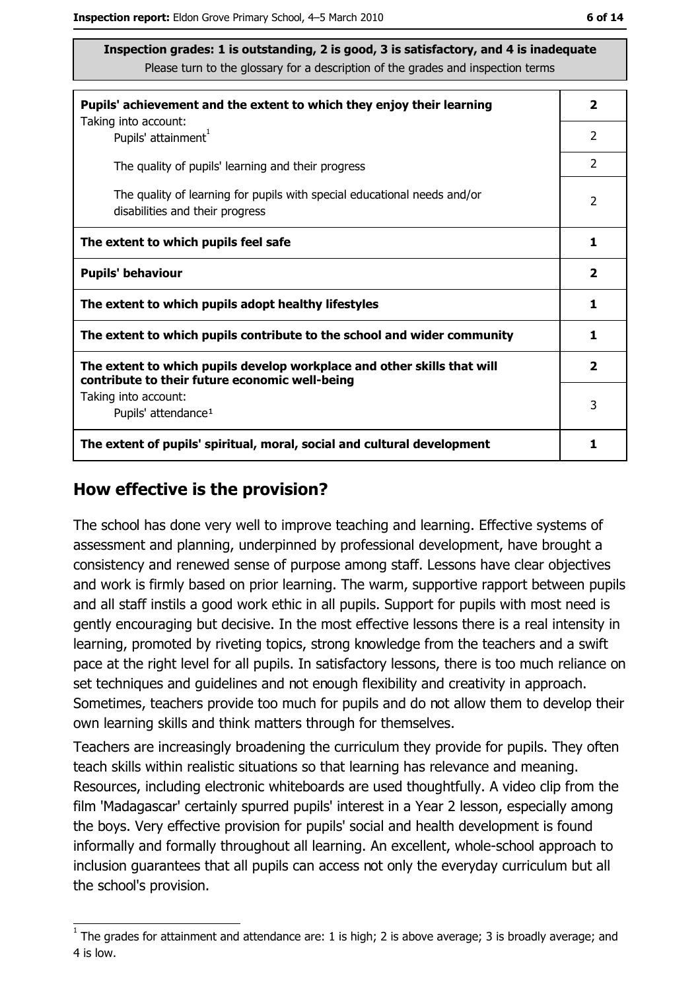| Pupils' achievement and the extent to which they enjoy their learning<br>Taking into account:                             | $\mathbf{2}$ |
|---------------------------------------------------------------------------------------------------------------------------|--------------|
| Pupils' attainment <sup>1</sup>                                                                                           | 2            |
| The quality of pupils' learning and their progress                                                                        | 2            |
| The quality of learning for pupils with special educational needs and/or<br>disabilities and their progress               | 2            |
| The extent to which pupils feel safe                                                                                      | 1            |
| <b>Pupils' behaviour</b>                                                                                                  |              |
| The extent to which pupils adopt healthy lifestyles                                                                       | 1            |
| The extent to which pupils contribute to the school and wider community                                                   |              |
| The extent to which pupils develop workplace and other skills that will<br>contribute to their future economic well-being | $\mathbf{2}$ |
| Taking into account:                                                                                                      | 3            |
| Pupils' attendance <sup>1</sup>                                                                                           |              |
| The extent of pupils' spiritual, moral, social and cultural development                                                   | 1            |

### How effective is the provision?

The school has done very well to improve teaching and learning. Effective systems of assessment and planning, underpinned by professional development, have brought a consistency and renewed sense of purpose among staff. Lessons have clear objectives and work is firmly based on prior learning. The warm, supportive rapport between pupils and all staff instils a good work ethic in all pupils. Support for pupils with most need is gently encouraging but decisive. In the most effective lessons there is a real intensity in learning, promoted by riveting topics, strong knowledge from the teachers and a swift pace at the right level for all pupils. In satisfactory lessons, there is too much reliance on set techniques and quidelines and not enough flexibility and creativity in approach. Sometimes, teachers provide too much for pupils and do not allow them to develop their own learning skills and think matters through for themselves.

Teachers are increasingly broadening the curriculum they provide for pupils. They often teach skills within realistic situations so that learning has relevance and meaning. Resources, including electronic whiteboards are used thoughtfully. A video clip from the film 'Madagascar' certainly spurred pupils' interest in a Year 2 lesson, especially among the boys. Very effective provision for pupils' social and health development is found informally and formally throughout all learning. An excellent, whole-school approach to inclusion guarantees that all pupils can access not only the everyday curriculum but all the school's provision.

 $\overline{1}$  The grades for attainment and attendance are: 1 is high; 2 is above average; 3 is broadly average; and 4 is low.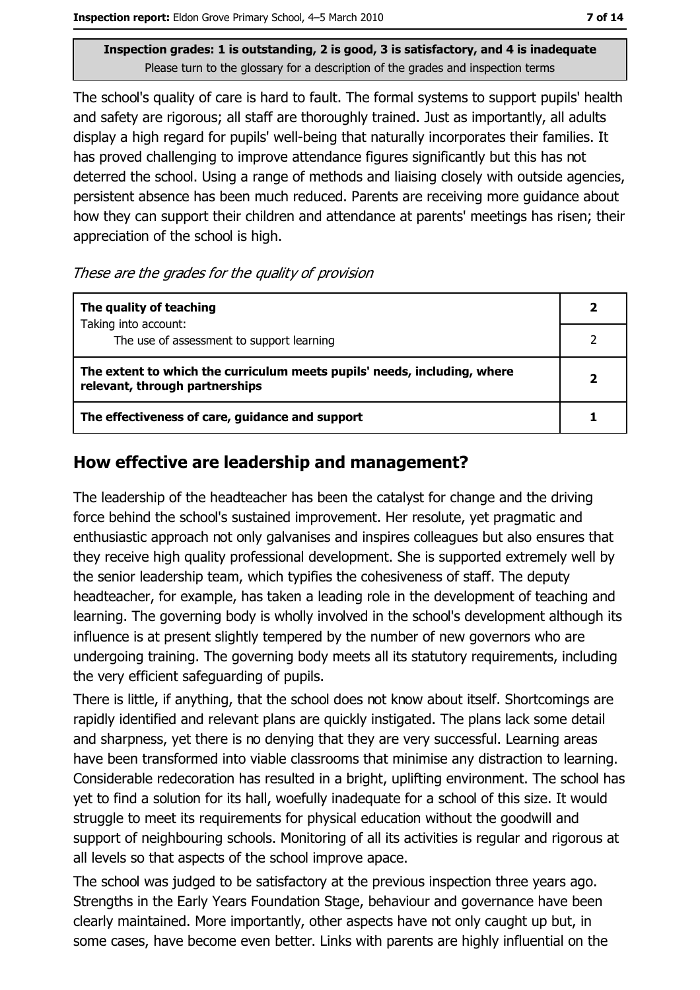The school's quality of care is hard to fault. The formal systems to support pupils' health and safety are rigorous; all staff are thoroughly trained. Just as importantly, all adults display a high regard for pupils' well-being that naturally incorporates their families. It has proved challenging to improve attendance figures significantly but this has not deterred the school. Using a range of methods and liaising closely with outside agencies, persistent absence has been much reduced. Parents are receiving more guidance about how they can support their children and attendance at parents' meetings has risen; their appreciation of the school is high.

#### These are the grades for the quality of provision

| The quality of teaching                                                                                    |  |
|------------------------------------------------------------------------------------------------------------|--|
| Taking into account:<br>The use of assessment to support learning                                          |  |
| The extent to which the curriculum meets pupils' needs, including, where<br>relevant, through partnerships |  |
| The effectiveness of care, guidance and support                                                            |  |

### How effective are leadership and management?

The leadership of the headteacher has been the catalyst for change and the driving force behind the school's sustained improvement. Her resolute, yet pragmatic and enthusiastic approach not only galvanises and inspires colleagues but also ensures that they receive high quality professional development. She is supported extremely well by the senior leadership team, which typifies the cohesiveness of staff. The deputy headteacher, for example, has taken a leading role in the development of teaching and learning. The governing body is wholly involved in the school's development although its influence is at present slightly tempered by the number of new governors who are undergoing training. The governing body meets all its statutory requirements, including the very efficient safeguarding of pupils.

There is little, if anything, that the school does not know about itself. Shortcomings are rapidly identified and relevant plans are quickly instigated. The plans lack some detail and sharpness, yet there is no denying that they are very successful. Learning areas have been transformed into viable classrooms that minimise any distraction to learning. Considerable redecoration has resulted in a bright, uplifting environment. The school has yet to find a solution for its hall, woefully inadequate for a school of this size. It would struggle to meet its requirements for physical education without the goodwill and support of neighbouring schools. Monitoring of all its activities is regular and rigorous at all levels so that aspects of the school improve apace.

The school was judged to be satisfactory at the previous inspection three years ago. Strengths in the Early Years Foundation Stage, behaviour and governance have been clearly maintained. More importantly, other aspects have not only caught up but, in some cases, have become even better. Links with parents are highly influential on the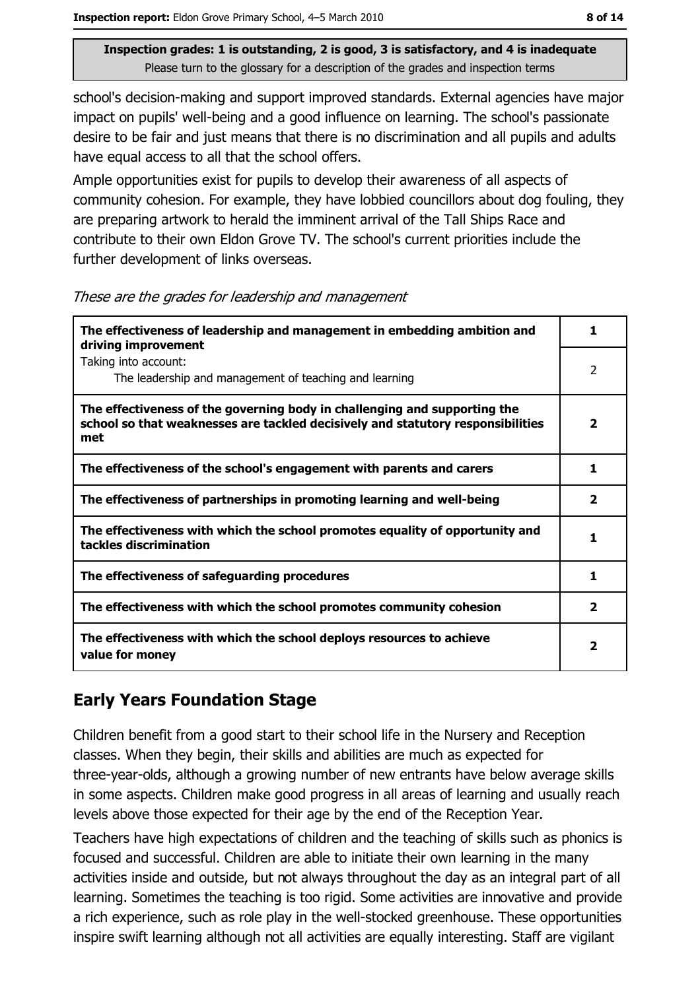school's decision-making and support improved standards. External agencies have major impact on pupils' well-being and a good influence on learning. The school's passionate desire to be fair and just means that there is no discrimination and all pupils and adults have equal access to all that the school offers.

Ample opportunities exist for pupils to develop their awareness of all aspects of community cohesion. For example, they have lobbied councillors about dog fouling, they are preparing artwork to herald the imminent arrival of the Tall Ships Race and contribute to their own Eldon Grove TV. The school's current priorities include the further development of links overseas.

These are the grades for leadership and management

| The effectiveness of leadership and management in embedding ambition and<br>driving improvement                                                                     | 1            |
|---------------------------------------------------------------------------------------------------------------------------------------------------------------------|--------------|
| Taking into account:<br>The leadership and management of teaching and learning                                                                                      | 2            |
| The effectiveness of the governing body in challenging and supporting the<br>school so that weaknesses are tackled decisively and statutory responsibilities<br>met | 2            |
| The effectiveness of the school's engagement with parents and carers                                                                                                | 1            |
| The effectiveness of partnerships in promoting learning and well-being                                                                                              | 2            |
| The effectiveness with which the school promotes equality of opportunity and<br>tackles discrimination                                                              |              |
| The effectiveness of safeguarding procedures                                                                                                                        | 1            |
| The effectiveness with which the school promotes community cohesion                                                                                                 | 2            |
| The effectiveness with which the school deploys resources to achieve<br>value for money                                                                             | $\mathbf{2}$ |

# **Early Years Foundation Stage**

Children benefit from a good start to their school life in the Nursery and Reception classes. When they begin, their skills and abilities are much as expected for three-year-olds, although a growing number of new entrants have below average skills in some aspects. Children make good progress in all areas of learning and usually reach levels above those expected for their age by the end of the Reception Year.

Teachers have high expectations of children and the teaching of skills such as phonics is focused and successful. Children are able to initiate their own learning in the many activities inside and outside, but not always throughout the day as an integral part of all learning. Sometimes the teaching is too rigid. Some activities are innovative and provide a rich experience, such as role play in the well-stocked greenhouse. These opportunities inspire swift learning although not all activities are equally interesting. Staff are vigilant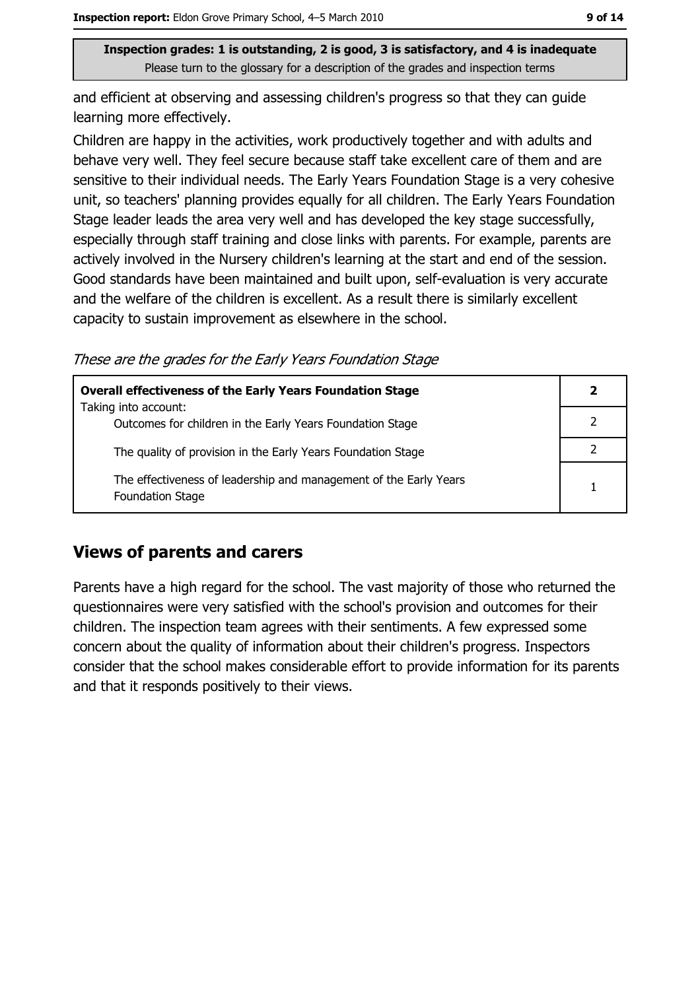and efficient at observing and assessing children's progress so that they can quide learning more effectively.

Children are happy in the activities, work productively together and with adults and behave very well. They feel secure because staff take excellent care of them and are sensitive to their individual needs. The Early Years Foundation Stage is a very cohesive unit, so teachers' planning provides equally for all children. The Early Years Foundation Stage leader leads the area very well and has developed the key stage successfully, especially through staff training and close links with parents. For example, parents are actively involved in the Nursery children's learning at the start and end of the session. Good standards have been maintained and built upon, self-evaluation is very accurate and the welfare of the children is excellent. As a result there is similarly excellent capacity to sustain improvement as elsewhere in the school.

These are the grades for the Early Years Foundation Stage

| <b>Overall effectiveness of the Early Years Foundation Stage</b>                             | 2 |
|----------------------------------------------------------------------------------------------|---|
| Taking into account:<br>Outcomes for children in the Early Years Foundation Stage            |   |
|                                                                                              |   |
| The quality of provision in the Early Years Foundation Stage                                 |   |
| The effectiveness of leadership and management of the Early Years<br><b>Foundation Stage</b> |   |

### **Views of parents and carers**

Parents have a high regard for the school. The vast majority of those who returned the questionnaires were very satisfied with the school's provision and outcomes for their children. The inspection team agrees with their sentiments. A few expressed some concern about the quality of information about their children's progress. Inspectors consider that the school makes considerable effort to provide information for its parents and that it responds positively to their views.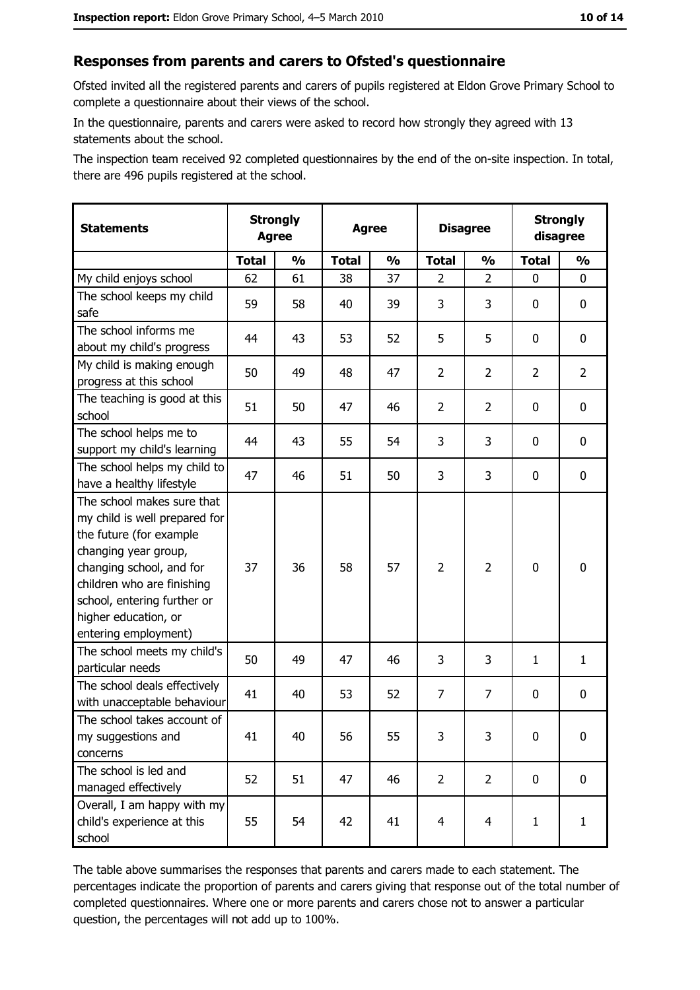#### Responses from parents and carers to Ofsted's questionnaire

Ofsted invited all the registered parents and carers of pupils registered at Eldon Grove Primary School to complete a questionnaire about their views of the school.

In the questionnaire, parents and carers were asked to record how strongly they agreed with 13 statements about the school.

The inspection team received 92 completed questionnaires by the end of the on-site inspection. In total, there are 496 pupils registered at the school.

| <b>Statements</b>                                                                                                                                                                                                                                       | <b>Strongly</b><br><b>Agree</b> |               | <b>Agree</b> |               |                | <b>Disagree</b>         |                | <b>Strongly</b><br>disagree |  |
|---------------------------------------------------------------------------------------------------------------------------------------------------------------------------------------------------------------------------------------------------------|---------------------------------|---------------|--------------|---------------|----------------|-------------------------|----------------|-----------------------------|--|
|                                                                                                                                                                                                                                                         | <b>Total</b>                    | $\frac{0}{0}$ | <b>Total</b> | $\frac{0}{0}$ | <b>Total</b>   | $\frac{1}{2}$           | <b>Total</b>   | $\frac{0}{0}$               |  |
| My child enjoys school                                                                                                                                                                                                                                  | 62                              | 61            | 38           | 37            | $\overline{2}$ | $\overline{2}$          | $\mathbf{0}$   | 0                           |  |
| The school keeps my child<br>safe                                                                                                                                                                                                                       | 59                              | 58            | 40           | 39            | 3              | 3                       | 0              | $\mathbf 0$                 |  |
| The school informs me<br>about my child's progress                                                                                                                                                                                                      | 44                              | 43            | 53           | 52            | 5              | 5                       | 0              | 0                           |  |
| My child is making enough<br>progress at this school                                                                                                                                                                                                    | 50                              | 49            | 48           | 47            | $\overline{2}$ | $\overline{2}$          | $\overline{2}$ | $\overline{2}$              |  |
| The teaching is good at this<br>school                                                                                                                                                                                                                  | 51                              | 50            | 47           | 46            | $\overline{2}$ | $\overline{2}$          | 0              | 0                           |  |
| The school helps me to<br>support my child's learning                                                                                                                                                                                                   | 44                              | 43            | 55           | 54            | 3              | 3                       | 0              | $\mathbf 0$                 |  |
| The school helps my child to<br>have a healthy lifestyle                                                                                                                                                                                                | 47                              | 46            | 51           | 50            | 3              | 3                       | 0              | $\mathbf 0$                 |  |
| The school makes sure that<br>my child is well prepared for<br>the future (for example<br>changing year group,<br>changing school, and for<br>children who are finishing<br>school, entering further or<br>higher education, or<br>entering employment) | 37                              | 36            | 58           | 57            | $\overline{2}$ | $\overline{2}$          | $\mathbf 0$    | $\bf{0}$                    |  |
| The school meets my child's<br>particular needs                                                                                                                                                                                                         | 50                              | 49            | 47           | 46            | 3              | 3                       | 1              | $\mathbf{1}$                |  |
| The school deals effectively<br>with unacceptable behaviour                                                                                                                                                                                             | 41                              | 40            | 53           | 52            | $\overline{7}$ | $\overline{7}$          | 0              | $\mathbf 0$                 |  |
| The school takes account of<br>my suggestions and<br>concerns                                                                                                                                                                                           | 41                              | 40            | 56           | 55            | 3              | 3                       | 0              | $\bf{0}$                    |  |
| The school is led and<br>managed effectively                                                                                                                                                                                                            | 52                              | 51            | 47           | 46            | $\overline{2}$ | $\overline{2}$          | $\mathbf 0$    | 0                           |  |
| Overall, I am happy with my<br>child's experience at this<br>school                                                                                                                                                                                     | 55                              | 54            | 42           | 41            | $\overline{4}$ | $\overline{\mathbf{4}}$ | $\mathbf{1}$   | $\mathbf{1}$                |  |

The table above summarises the responses that parents and carers made to each statement. The percentages indicate the proportion of parents and carers giving that response out of the total number of completed questionnaires. Where one or more parents and carers chose not to answer a particular question, the percentages will not add up to 100%.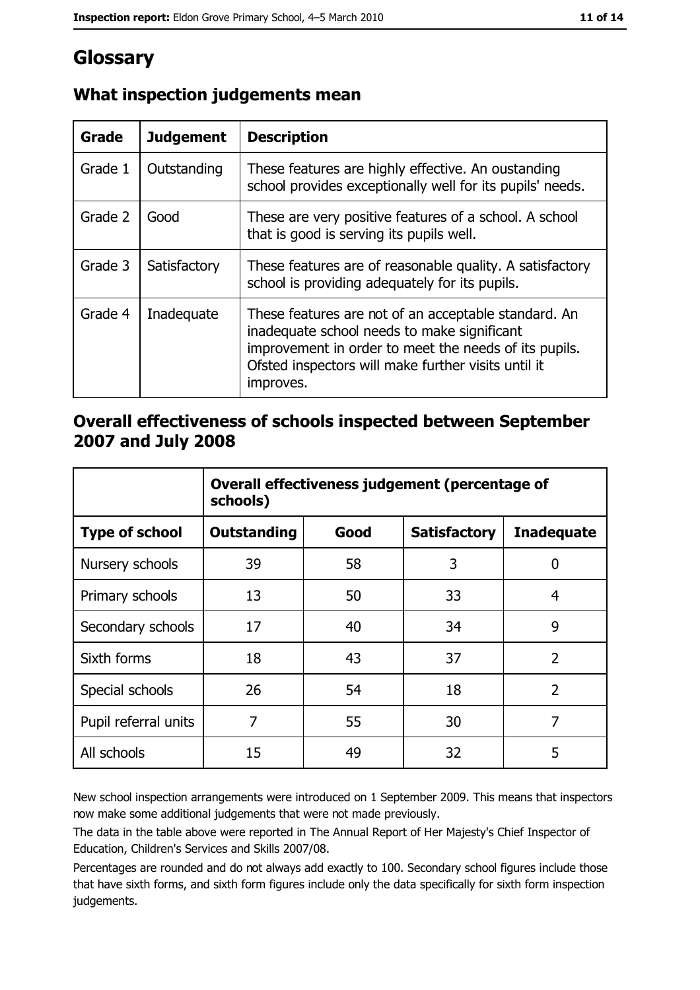# Glossary

| Grade   | <b>Judgement</b> | <b>Description</b>                                                                                                                                                                                                               |
|---------|------------------|----------------------------------------------------------------------------------------------------------------------------------------------------------------------------------------------------------------------------------|
| Grade 1 | Outstanding      | These features are highly effective. An oustanding<br>school provides exceptionally well for its pupils' needs.                                                                                                                  |
| Grade 2 | Good             | These are very positive features of a school. A school<br>that is good is serving its pupils well.                                                                                                                               |
| Grade 3 | Satisfactory     | These features are of reasonable quality. A satisfactory<br>school is providing adequately for its pupils.                                                                                                                       |
| Grade 4 | Inadequate       | These features are not of an acceptable standard. An<br>inadequate school needs to make significant<br>improvement in order to meet the needs of its pupils.<br>Ofsted inspectors will make further visits until it<br>improves. |

# What inspection judgements mean

# Overall effectiveness of schools inspected between September 2007 and July 2008

|                       | Overall effectiveness judgement (percentage of<br>schools) |      |                     |                   |
|-----------------------|------------------------------------------------------------|------|---------------------|-------------------|
| <b>Type of school</b> | Outstanding                                                | Good | <b>Satisfactory</b> | <b>Inadequate</b> |
| Nursery schools       | 39                                                         | 58   | 3                   | 0                 |
| Primary schools       | 13                                                         | 50   | 33                  | 4                 |
| Secondary schools     | 17                                                         | 40   | 34                  | 9                 |
| Sixth forms           | 18                                                         | 43   | 37                  | $\overline{2}$    |
| Special schools       | 26                                                         | 54   | 18                  | $\overline{2}$    |
| Pupil referral units  | 7                                                          | 55   | 30                  | 7                 |
| All schools           | 15                                                         | 49   | 32                  | 5                 |

New school inspection arrangements were introduced on 1 September 2009. This means that inspectors now make some additional judgements that were not made previously.

The data in the table above were reported in The Annual Report of Her Majesty's Chief Inspector of Education, Children's Services and Skills 2007/08.

Percentages are rounded and do not always add exactly to 100. Secondary school figures include those that have sixth forms, and sixth form figures include only the data specifically for sixth form inspection judgements.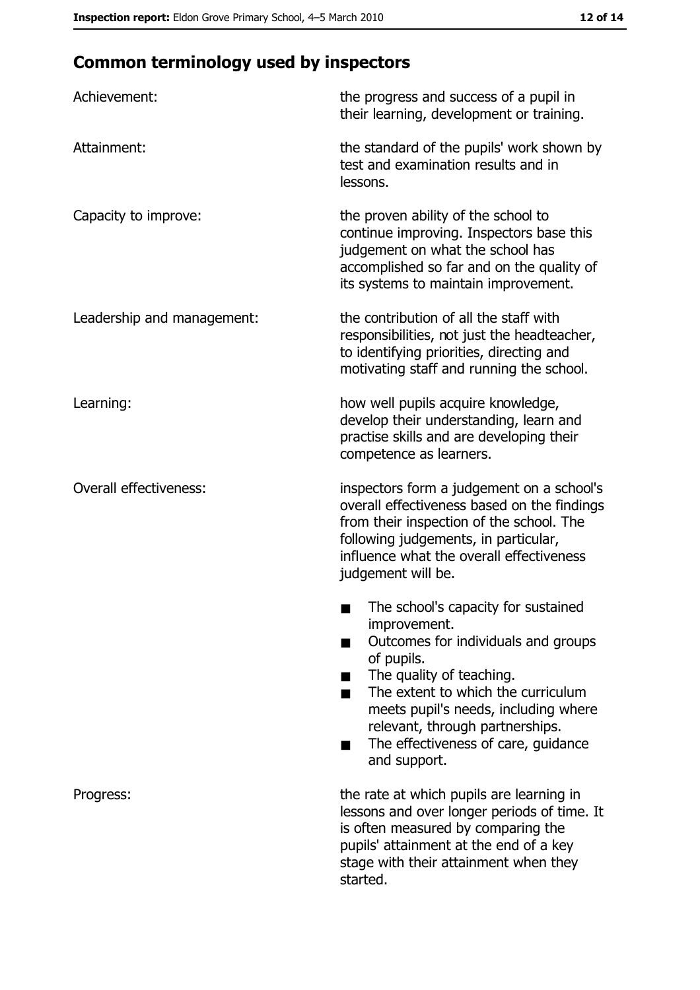# **Common terminology used by inspectors**

| Achievement:                  | the progress and success of a pupil in<br>their learning, development or training.                                                                                                                                                                                                                           |
|-------------------------------|--------------------------------------------------------------------------------------------------------------------------------------------------------------------------------------------------------------------------------------------------------------------------------------------------------------|
| Attainment:                   | the standard of the pupils' work shown by<br>test and examination results and in<br>lessons.                                                                                                                                                                                                                 |
| Capacity to improve:          | the proven ability of the school to<br>continue improving. Inspectors base this<br>judgement on what the school has<br>accomplished so far and on the quality of<br>its systems to maintain improvement.                                                                                                     |
| Leadership and management:    | the contribution of all the staff with<br>responsibilities, not just the headteacher,<br>to identifying priorities, directing and<br>motivating staff and running the school.                                                                                                                                |
| Learning:                     | how well pupils acquire knowledge,<br>develop their understanding, learn and<br>practise skills and are developing their<br>competence as learners.                                                                                                                                                          |
| <b>Overall effectiveness:</b> | inspectors form a judgement on a school's<br>overall effectiveness based on the findings<br>from their inspection of the school. The<br>following judgements, in particular,<br>influence what the overall effectiveness<br>judgement will be.                                                               |
|                               | The school's capacity for sustained<br>improvement.<br>Outcomes for individuals and groups<br>of pupils.<br>The quality of teaching.<br>The extent to which the curriculum<br>meets pupil's needs, including where<br>relevant, through partnerships.<br>The effectiveness of care, guidance<br>and support. |
| Progress:                     | the rate at which pupils are learning in<br>lessons and over longer periods of time. It<br>is often measured by comparing the<br>pupils' attainment at the end of a key<br>stage with their attainment when they<br>started.                                                                                 |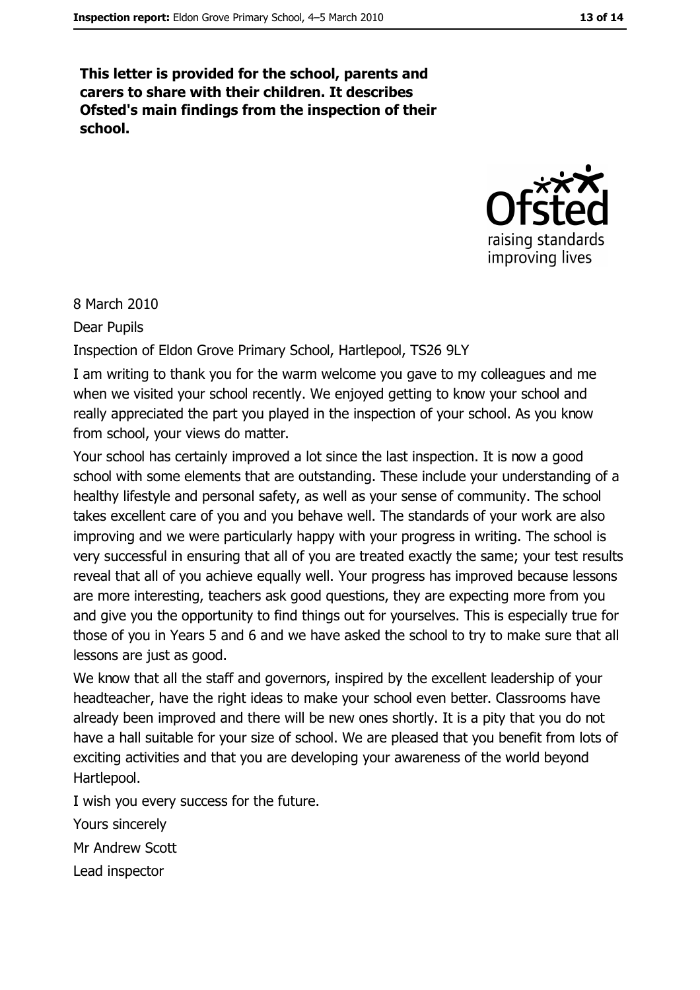This letter is provided for the school, parents and carers to share with their children. It describes Ofsted's main findings from the inspection of their school.



8 March 2010

**Dear Pupils** 

Inspection of Eldon Grove Primary School, Hartlepool, TS26 9LY

I am writing to thank you for the warm welcome you gave to my colleagues and me when we visited your school recently. We enjoyed getting to know your school and really appreciated the part you played in the inspection of your school. As you know from school, your views do matter.

Your school has certainly improved a lot since the last inspection. It is now a good school with some elements that are outstanding. These include your understanding of a healthy lifestyle and personal safety, as well as your sense of community. The school takes excellent care of you and you behave well. The standards of your work are also improving and we were particularly happy with your progress in writing. The school is very successful in ensuring that all of you are treated exactly the same; your test results reveal that all of you achieve equally well. Your progress has improved because lessons are more interesting, teachers ask good questions, they are expecting more from you and give you the opportunity to find things out for yourselves. This is especially true for those of you in Years 5 and 6 and we have asked the school to try to make sure that all lessons are just as good.

We know that all the staff and governors, inspired by the excellent leadership of your headteacher, have the right ideas to make your school even better. Classrooms have already been improved and there will be new ones shortly. It is a pity that you do not have a hall suitable for your size of school. We are pleased that you benefit from lots of exciting activities and that you are developing your awareness of the world beyond Hartlepool.

I wish you every success for the future.

Yours sincerely

Mr Andrew Scott

Lead inspector